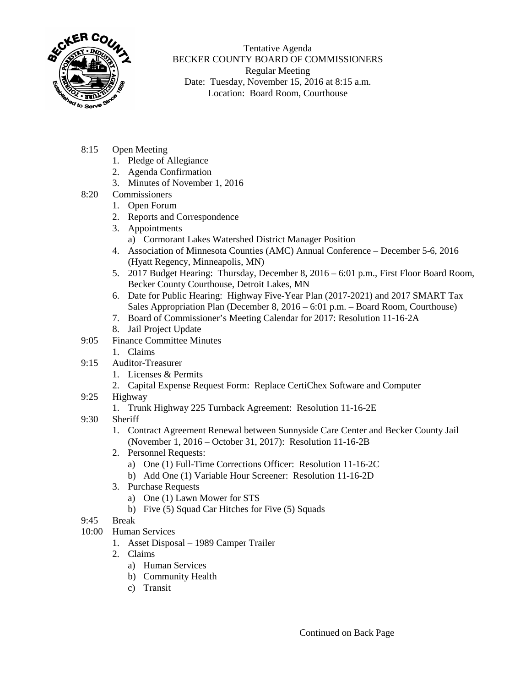

Tentative Agenda BECKER COUNTY BOARD OF COMMISSIONERS Regular Meeting Date: Tuesday, November 15, 2016 at 8:15 a.m. Location: Board Room, Courthouse

- 8:15 Open Meeting
	- 1. Pledge of Allegiance
	- 2. Agenda Confirmation
	- 3. Minutes of November 1, 2016
- 8:20 Commissioners
	- 1. Open Forum
	- 2. Reports and Correspondence
	- 3. Appointments
		- a) Cormorant Lakes Watershed District Manager Position
	- 4. Association of Minnesota Counties (AMC) Annual Conference December 5-6, 2016 (Hyatt Regency, Minneapolis, MN)
	- 5. 2017 Budget Hearing: Thursday, December 8, 2016 6:01 p.m., First Floor Board Room, Becker County Courthouse, Detroit Lakes, MN
	- 6. Date for Public Hearing: Highway Five-Year Plan (2017-2021) and 2017 SMART Tax Sales Appropriation Plan (December 8, 2016 – 6:01 p.m. – Board Room, Courthouse)
	- 7. Board of Commissioner's Meeting Calendar for 2017: Resolution 11-16-2A
	- 8. Jail Project Update
- 9:05 Finance Committee Minutes
	- 1. Claims
- 9:15 Auditor-Treasurer
	- 1. Licenses & Permits
	- 2. Capital Expense Request Form: Replace CertiChex Software and Computer
- 9:25 Highway
	- 1. Trunk Highway 225 Turnback Agreement: Resolution 11-16-2E
- 9:30 Sheriff
	- 1. Contract Agreement Renewal between Sunnyside Care Center and Becker County Jail (November 1, 2016 – October 31, 2017): Resolution 11-16-2B
	- 2. Personnel Requests:
		- a) One (1) Full-Time Corrections Officer: Resolution 11-16-2C
		- b) Add One (1) Variable Hour Screener: Resolution 11-16-2D
	- 3. Purchase Requests
		- a) One (1) Lawn Mower for STS
		- b) Five (5) Squad Car Hitches for Five (5) Squads
- 9:45 Break
- 10:00 Human Services
	- 1. Asset Disposal 1989 Camper Trailer
	- 2. Claims
		- a) Human Services
		- b) Community Health
		- c) Transit